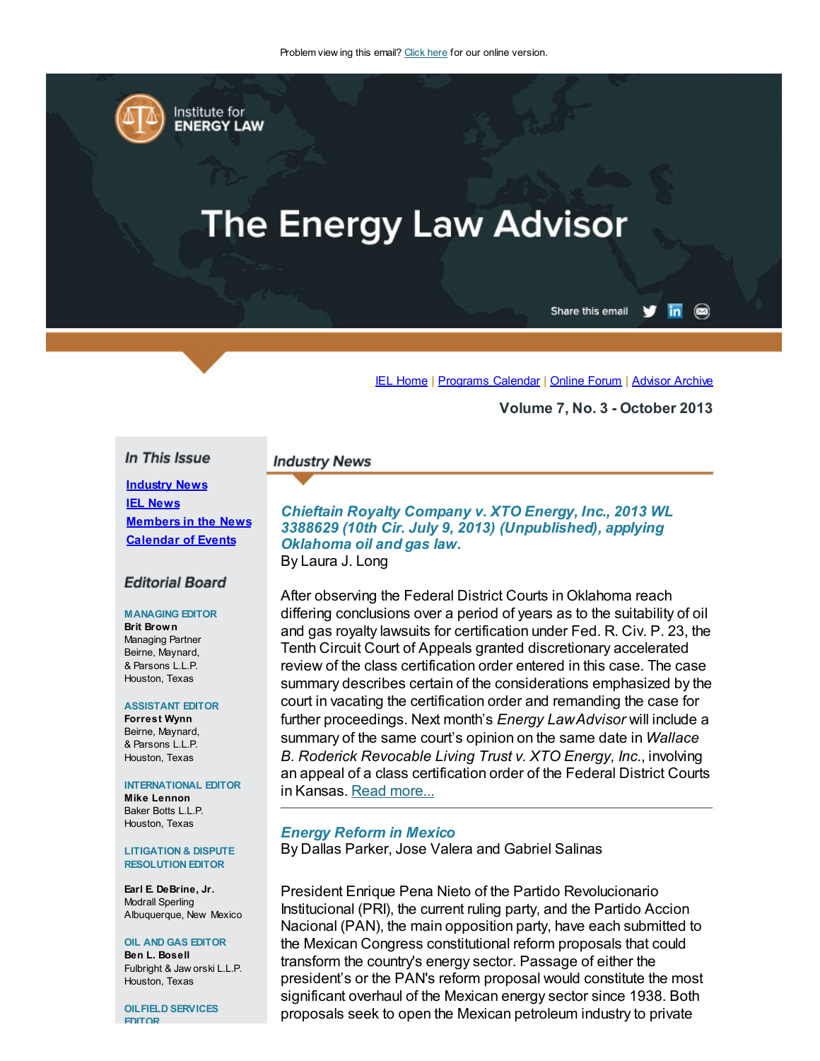

# **The Energy Law Advisor**

 $\overline{\mathsf{in}}$   $\circledcirc$ Share this email

IEL [Home](http://www.cailaw.org/institute-for-energy-law/index.html?utm_source=Informz&utm_medium=Email&utm_campaign=Event+Details) | [Programs](http://www.cailaw.org/institute-for-energy-law/programs-calendar.html?utm_source=Informz&utm_medium=Email&utm_campaign=Event+Details) Calendar | [Online](http://www.linkedin.com/groups?homeNewMember=&gid=2370373&trk=&ut=0XojoQQoYP6ls1) Forum | [Advisor](http://www.cailaw.org/institute-for-energy-law/publications/energy-law-advisor.html?utm_source=Informz&utm_medium=Email&utm_campaign=Event+Details) Archive

Volume 7, No. 3 - October 2013

## In This Issue

**Industry News IEL [News](#page-1-0)** [Members](#page-3-0) in the News [Calendar](#page-4-0) of Events

## **Editorial Board**

#### MANAGING EDITOR

Brit Brown Managing Partner Beirne, Maynard, & Parsons L.L.P. Houston, Texas

#### ASSISTANT EDITOR

Forrest Wynn Beirne, Maynard, & Parsons L.L.P. Houston, Texas

#### INTERNATIONAL EDITOR

Mike Lennon Baker Botts L.L.P. Houston, Texas

#### LITIGATION & DISPUTE RESOLUTION EDITOR

Earl E. DeBrine, Jr. Modrall Sperling Albuquerque, New Mexico

#### OIL AND GAS EDITOR Ben L. Bosell Fulbright & Jaw orski L.L.P. Houston, Texas

OILFIELD SERVICES EDITOR

## **Industry News**

Chieftain Royalty Company v. XTO Energy, Inc., 2013 WL 3388629 (10th Cir. July 9, 2013) (Unpublished), applying Oklahoma oil and gas law. By Laura J. Long

After observing the Federal District Courts in Oklahoma reach differing conclusions over a period of years as to the suitability of oil and gas royalty lawsuits for certification under Fed. R. Civ. P. 23, the Tenth Circuit Court of Appeals granted discretionary accelerated review of the class certification order entered in this case. The case summary describes certain of the considerations emphasized by the court in vacating the certification order and remanding the case for further proceedings. Next month's *Energy LawAdvisor* will include a summary of the same court's opinion on the same date in Wallace B. Roderick Revocable Living Trust v. XTO Energy, Inc., involving an appeal of a class certification order of the Federal District Courts in Kansas. Read [more...](http://cailaw.informz.net/admin31/content/template.asp?sid=32757&ptid=799&brandid=3434&uid=%%UID%%&mi=%%MINSTANCEID%%&ps=32757)

#### Energy Reform in Mexico

By Dallas Parker, Jose Valera and Gabriel Salinas

President Enrique Pena Nieto of the Partido Revolucionario Institucional (PRI), the current ruling party, and the Partido Accion Nacional (PAN), the main opposition party, have each submitted to the Mexican Congress constitutional reform proposals that could transform the country's energy sector. Passage of either the president's or the PAN's reform proposal would constitute the most significant overhaul of the Mexican energy sector since 1938. Both proposals seek to open the Mexican petroleum industry to private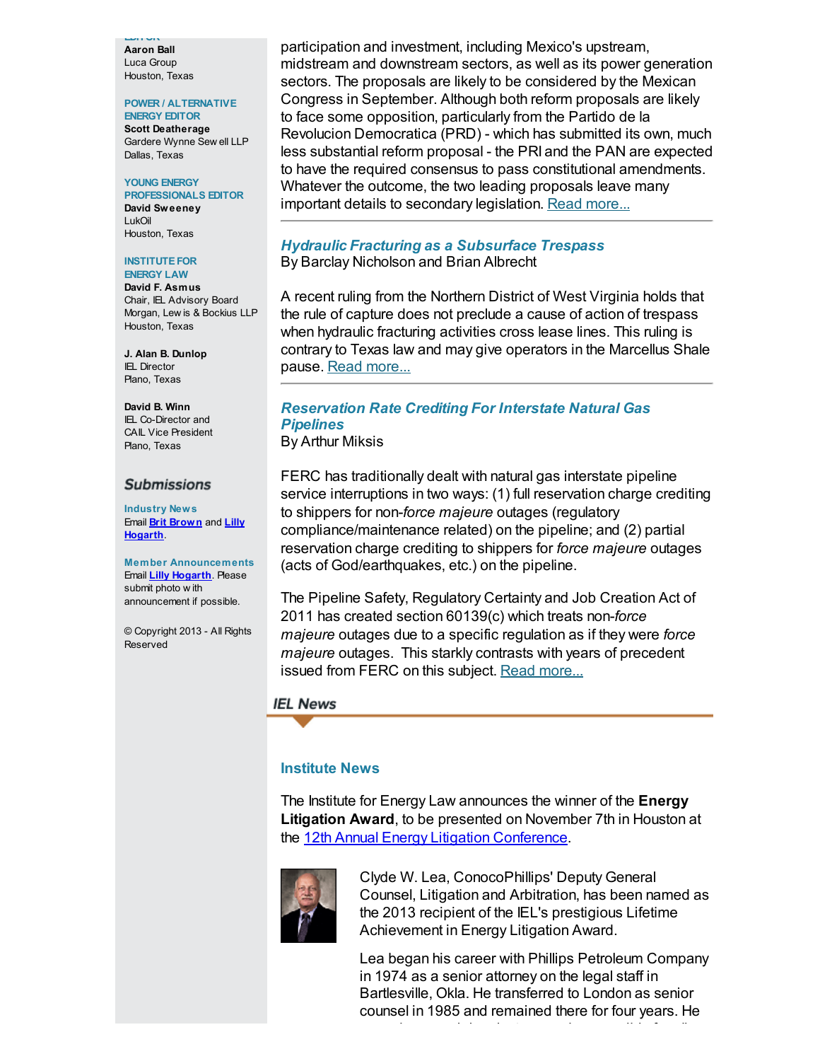EDITOR Aaron Ball Luca Group Houston, Texas

## POWER / ALTERNATIVE

ENERGY EDITOR Scott Deatherage Gardere Wynne Sew ell LLP Dallas, Texas

#### YOUNG ENERGY PROFESSIONALS EDITOR

David Sweeney LukOil Houston, Texas

#### **INSTITUTE FOR** ENERGY LAW

David F. Asmus Chair, IEL Advisory Board Morgan, Lew is & Bockius LLP Houston, Texas

J. Alan B. Dunlop IEL Director Plano, Texas

David B. Winn IEL Co-Director and CAIL Vice President Plano, Texas

## **Submissions**

Industry News Email **Brit [Brown](mailto:bbrown@bmpllp.com)** and **Lilly** [Hogarth](mailto:lhogarth@cailaw.org).

Member Announcements Email **Lilly [Hogarth](mailto:lhogarth@cailaw.org)**. Please submit photo w ith announcement if possible.

© Copyright 2013 - All Rights Reserved

participation and investment, including Mexico's upstream, midstream and downstream sectors, as well as its power generation sectors. The proposals are likely to be considered by the Mexican Congress in September. Although both reform proposals are likely to face some opposition, particularly from the Partido de la Revolucion Democratica (PRD) - which has submitted its own, much less substantial reform proposal - the PRI and the PAN are expected to have the required consensus to pass constitutional amendments. Whatever the outcome, the two leading proposals leave many important details to secondary legislation. Read [more...](http://cailaw.informz.net/admin31/content/template.asp?sid=32756&ptid=799&brandid=3434&uid=%%UID%%&mi=%%MINSTANCEID%%&ps=32756)

## Hydraulic Fracturing as a Subsurface Trespass

By Barclay Nicholson and Brian Albrecht

A recent ruling from the Northern District of West Virginia holds that the rule of capture does not preclude a cause of action of trespass when hydraulic fracturing activities cross lease lines. This ruling is contrary to Texas law and may give operators in the Marcellus Shale pause. Read [more...](http://www.cailaw.org/media/files/IEL/Publications/2013/ela-fracing-vol7-no3.pdf)

## Reservation Rate Crediting For Interstate Natural Gas **Pipelines**

By Arthur Miksis

FERC has traditionally dealt with natural gas interstate pipeline service interruptions in two ways: (1) full reservation charge crediting to shippers for non-force majeure outages (regulatory compliance/maintenance related) on the pipeline; and (2) partial reservation charge crediting to shippers for force majeure outages (acts of God/earthquakes, etc.) on the pipeline.

The Pipeline Safety, Regulatory Certainty and Job Creation Act of 2011 has created section 60139(c) which treats non-force majeure outages due to a specific regulation as if they were force majeure outages. This starkly contrasts with years of precedent issued from FERC on this subject. Read [more...](http://www.cailaw.org/media/files/IEL/Publications/2013/ela-section30139-vol7-no3.pdf)

## <span id="page-1-0"></span>**IEL News**

## Institute News

The Institute for Energy Law announces the winner of the Energy Litigation Award, to be presented on November 7th in Houston at the 12th Annual Energy Litigation [Conference.](http://www.cailaw.org/institute-for-energy-law/events/2013/12th-annual-energy-litigation-conference.html?utm_source=Informz&utm_medium=Email&utm_campaign=Event+Details)



Clyde W. Lea, ConocoPhillips' Deputy General Counsel, Litigation and Arbitration, has been named as the 2013 recipient of the IEL's prestigious Lifetime Achievement in Energy Litigation Award.

Lea began his career with Phillips Petroleum Company in 1974 as a senior attorney on the legal staff in Bartlesville, Okla. He transferred to London as senior counsel in 1985 and remained there for four years. He

served as special project counsel responsible for all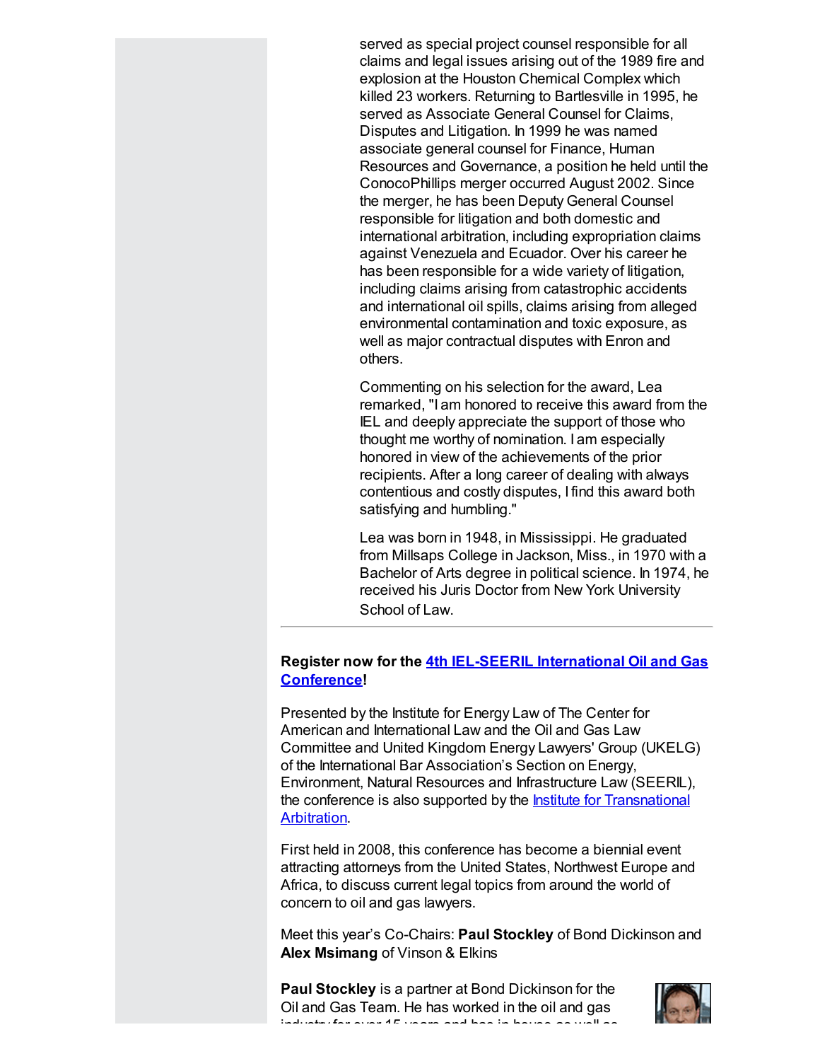served as special project counsel responsible for all claims and legal issues arising out of the 1989 fire and explosion at the Houston Chemical Complex which killed 23 workers. Returning to Bartlesville in 1995, he served as Associate General Counsel for Claims, Disputes and Litigation. In 1999 he was named associate general counsel for Finance, Human Resources and Governance, a position he held until the ConocoPhillips merger occurred August 2002. Since the merger, he has been Deputy General Counsel responsible for litigation and both domestic and international arbitration, including expropriation claims against Venezuela and Ecuador. Over his career he has been responsible for a wide variety of litigation, including claims arising from catastrophic accidents and international oil spills, claims arising from alleged environmental contamination and toxic exposure, as well as major contractual disputes with Enron and others.

Commenting on his selection for the award, Lea remarked, "I am honored to receive this award from the IEL and deeply appreciate the support of those who thought me worthy of nomination. I am especially honored in view of the achievements of the prior recipients. After a long career of dealing with always contentious and costly disputes, I find this award both satisfying and humbling."

Lea was born in 1948, in Mississippi. He graduated from Millsaps College in Jackson, Miss., in 1970 with a Bachelor of Arts degree in political science. In 1974, he received his Juris Doctor from New York University School of Law.

## Register now for the 4th IEL-SEERIL [International](http://www.cailaw.org/institute-for-energy-law/events/2013/4th-iel-seeril-international-oil-gas-law-conference.html?utm_source=Informz&utm_medium=Email&utm_campaign=Event+Details) Oil and Gas Conference!

Presented by the Institute for Energy Law of The Center for American and International Law and the Oil and Gas Law Committee and United Kingdom Energy Lawyers' Group (UKELG) of the International Bar Association's Section on Energy, Environment, Natural Resources and Infrastructure Law (SEERIL), the conference is also supported by the **Institute for [Transnational](http://www.cailaw.org/Institute-for-Transnational-Arbitration/index.html?utm_source=Informz&utm_medium=Email&utm_campaign=Event+Details)** Arbitration.

First held in 2008, this conference has become a biennial event attracting attorneys from the United States, Northwest Europe and Africa, to discuss current legal topics from around the world of concern to oil and gas lawyers.

Meet this year's Co-Chairs: Paul Stockley of Bond Dickinson and Alex Msimang of Vinson & Elkins

Paul Stockley is a partner at Bond Dickinson for the Oil and Gas Team. He has worked in the oil and gas industry for over 15 years and has in-house as well as

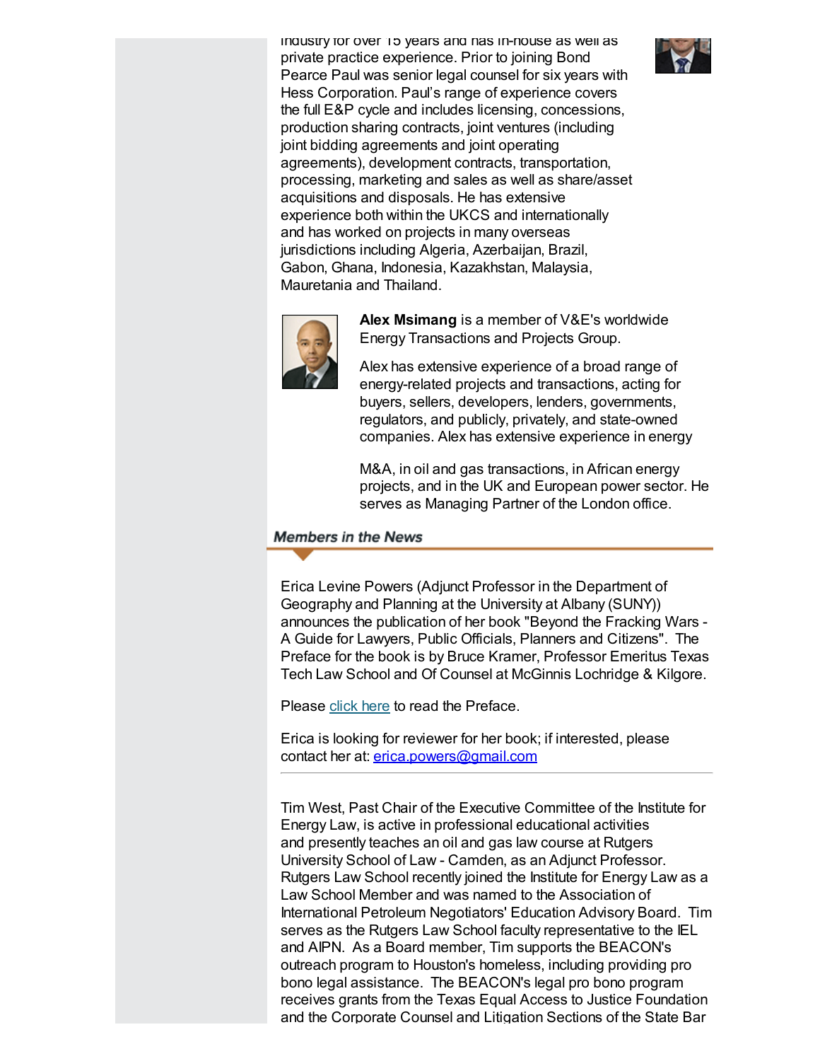industry for over 15 years and has in-house as well as private practice experience. Prior to joining Bond Pearce Paul was senior legal counsel for six years with Hess Corporation. Paul's range of experience covers the full E&P cycle and includes licensing, concessions, production sharing contracts, joint ventures (including joint bidding agreements and joint operating agreements), development contracts, transportation, processing, marketing and sales as well as share/asset acquisitions and disposals. He has extensive experience both within the UKCS and internationally and has worked on projects in many overseas jurisdictions including Algeria, Azerbaijan, Brazil, Gabon, Ghana, Indonesia, Kazakhstan, Malaysia, Mauretania and Thailand.





Alex Msimang is a member of V&E's worldwide Energy Transactions and Projects Group.

Alex has extensive experience of a broad range of energy-related projects and transactions, acting for buyers, sellers, developers, lenders, governments, regulators, and publicly, privately, and state-owned companies. Alex has extensive experience in energy

M&A, in oil and gas transactions, in African energy projects, and in the UK and European power sector. He serves as Managing Partner of the London office.

## <span id="page-3-0"></span>**Members in the News**

Erica Levine Powers (Adjunct Professor in the Department of Geography and Planning at the University at Albany (SUNY)) announces the publication of her book "Beyond the Fracking Wars - A Guide for Lawyers, Public Officials, Planners and Citizens". The Preface for the book is by Bruce Kramer, Professor Emeritus Texas Tech Law School and Of Counsel at McGinnis Lochridge & Kilgore.

Please [click](http://www.cailaw.org/media/files/IEL/Publications/2013/ela-epowers-preface-vol7-no3.pdf) here to read the Preface.

Erica is looking for reviewer for her book; if interested, please contact her at: [erica.powers@gmail.com](mailto:erica.powers@gmail.com)

Tim West, Past Chair of the Executive Committee of the Institute for Energy Law, is active in professional educational activities and presently teaches an oil and gas law course at Rutgers University School of Law - Camden, as an Adjunct Professor. Rutgers Law School recently joined the Institute for Energy Law as a Law School Member and was named to the Association of International Petroleum Negotiators' Education Advisory Board. Tim serves as the Rutgers Law School faculty representative to the IEL and AIPN. As a Board member, Tim supports the BEACON's outreach program to Houston's homeless, including providing pro bono legal assistance. The BEACON's legal pro bono program receives grants from the Texas Equal Access to Justice Foundation and the Corporate Counsel and Litigation Sections of the State Bar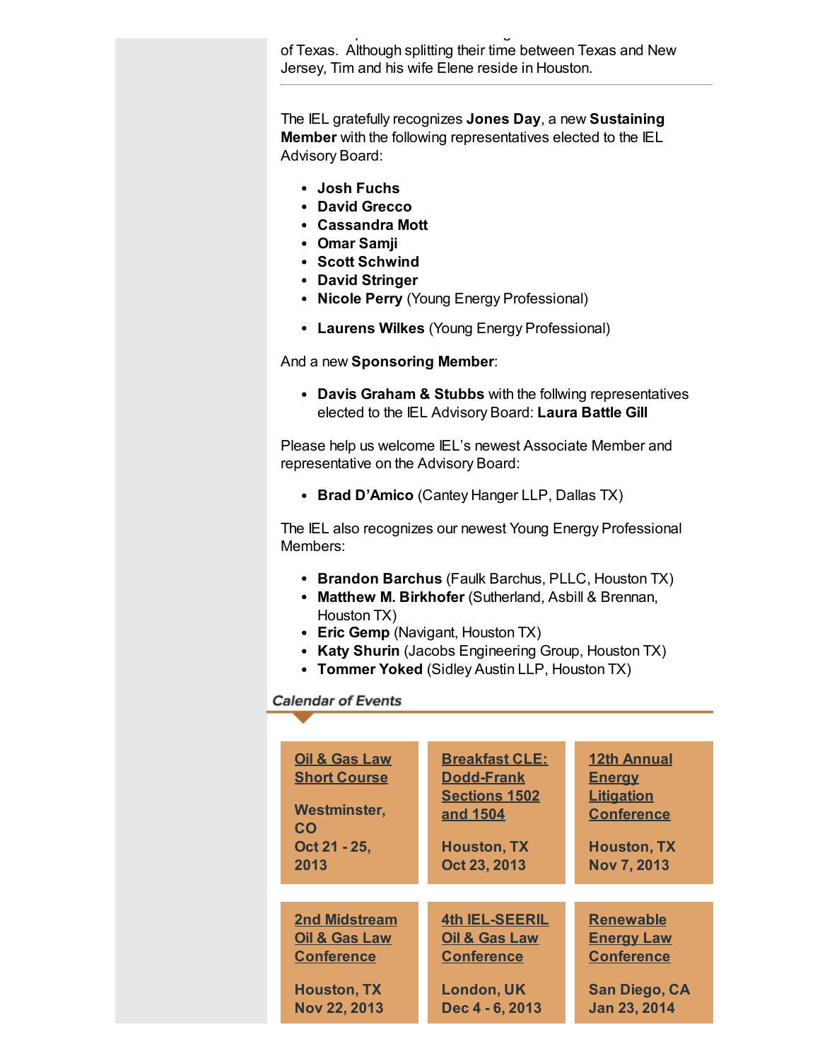and the Corporate Counsel and Litigation Sections of the State Bar of Texas. Although splitting their time between Texas and New Jersey, Tim and his wife Elene reside in Houston.

The IEL gratefully recognizes Jones Day, a new Sustaining Member with the following representatives elected to the IEL Advisory Board:

- Josh Fuchs
- David Grecco
- Cassandra Mott
- Omar Samji
- Scott Schwind
- David Stringer
- Nicole Perry (Young Energy Professional)
- Laurens Wilkes (Young Energy Professional)

And a new Sponsoring Member:

• Davis Graham & Stubbs with the follwing representatives elected to the IEL Advisory Board: Laura Battle Gill

Please help us welcome IEL's newest Associate Member and representative on the Advisory Board:

• Brad D'Amico (Cantey Hanger LLP, Dallas TX)

The IEL also recognizes our newest Young Energy Professional Members:

- Brandon Barchus (Faulk Barchus, PLLC, Houston TX)
- Matthew M. Birkhofer (Sutherland, Asbill & Brennan, Houston TX)
- Eric Gemp (Navigant, Houston TX)
- Katy Shurin (Jacobs Engineering Group, Houston TX)
- Tommer Yoked (Sidley Austin LLP, Houston TX)

## <span id="page-4-0"></span>**Calendar of Events**

| <b>Oil &amp; Gas Law</b> | <b>Breakfast CLE:</b> | <b>12th Annual</b>   |
|--------------------------|-----------------------|----------------------|
| <b>Short Course</b>      | <b>Dodd-Frank</b>     | <b>Energy</b>        |
| Westminster,             | <b>Sections 1502</b>  | <b>Litigation</b>    |
| CO                       | and 1504              | <b>Conference</b>    |
| Oct 21 - 25,             | <b>Houston, TX</b>    | <b>Houston, TX</b>   |
| 2013                     | Oct 23, 2013          | <b>Nov 7, 2013</b>   |
|                          |                       |                      |
| <b>2nd Midstream</b>     | <b>4th IEL-SEERIL</b> | <b>Renewable</b>     |
| Oil & Gas Law            | Oil & Gas Law         | <b>Energy Law</b>    |
| <b>Conference</b>        | <b>Conference</b>     | <b>Conference</b>    |
| <b>Houston, TX</b>       | <b>London, UK</b>     | <b>San Diego, CA</b> |
| <b>Nov 22, 2013</b>      | Dec 4 - 6, 2013       | <b>Jan 23, 2014</b>  |